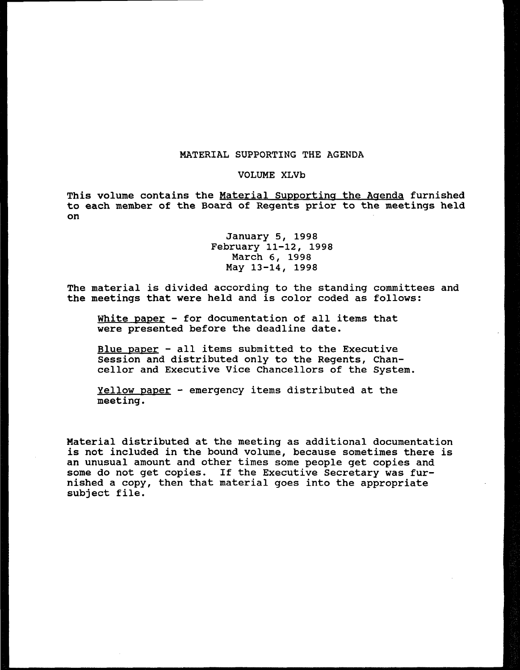### MATERIAL SUPPORTING THE AGENDA

#### VOLUME XLVb

This volume contains the Material Supporting the Agenda furnished to each member of the Board of Regents prior to the meetings held on

## January 5, 1998 February 11-12, 1998 March 6, 1998 May 13-14, 1998

The material is divided according to the standing committees and the meetings that were held and is color coded as follows:

White paper - for documentation of all items that were presented before the deadline date.

Blue paper - all items submitted to the Executive Session and distributed only to the Regents, Chancellor and Executive Vice Chancellors of the System.

Yellow paper - emergency items distributed at the meeting.

Material distributed at the meeting as additional documentation is not included in the bound volume, because sometimes there is an unusual amount and other times some people get copies and some do not get copies. If the Executive Secretary was furnished a copy, then that material goes into the appropriate subject file.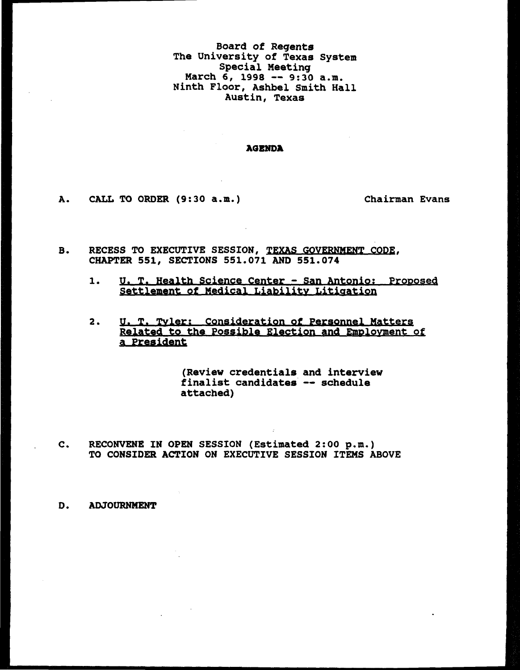Board of Regents The University of Texas System Special Meeting March 6, 1998 -- 9:30 a.m. Ninth Floor, Ashbel Smith Hall Austin, Texas

#### AGENDA

A. CALL TO ORDER (9:30 a.m.) Chairman Evans

- B. RECESS TO EXECUTIVE SESSION, TEXAS GOVERNMENT CODE, CHAPTER 551, SECTIONS 551.071 AND 551.074
	- 1. U. T. Health Science Center San Antonio: Proposed Settlement of Medical Liability Litigation
	- 2. U. T. Tyler: Consideration of Personnel Matters Related to the Possible Election and Employment of a President

(Review credentials and interview finalist candidates -- schedule attached)

RECONVENE IN OPEN SESSION (Estimated 2:00 p.m.)  $c_{\star}$ TO CONSIDER ACTION ON EXECUTIVE SESSION ITEMS ABOVE

ADJOURNMENT